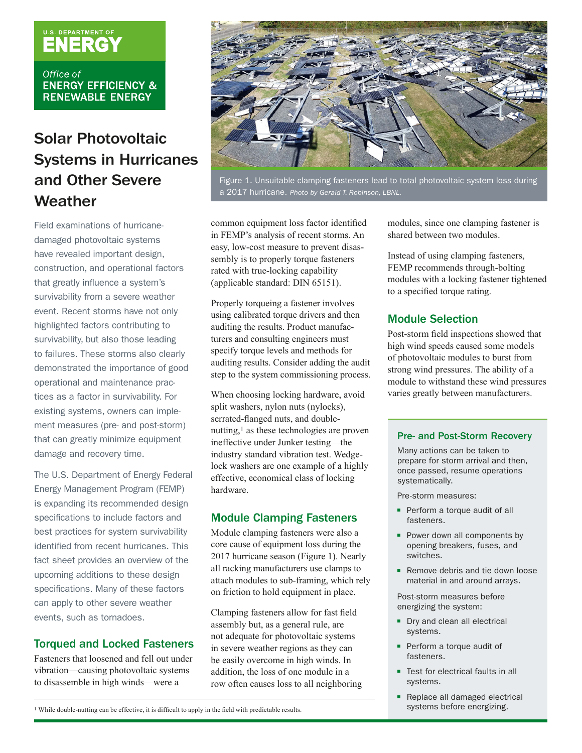# U.S. DEPARTMENT OF

Office of **ENERGY EFFICIENCY & RENEWABLE ENERGY** 

### Solar Photovoltaic Systems in Hurricanes and Other Severe **Weather**

Field examinations of hurricanedamaged photovoltaic systems have revealed important design, construction, and operational factors that greatly influence a system's survivability from a severe weather event. Recent storms have not only highlighted factors contributing to survivability, but also those leading to failures. These storms also clearly demonstrated the importance of good operational and maintenance practices as a factor in survivability. For existing systems, owners can implement measures (pre- and post-storm) that can greatly minimize equipment damage and recovery time.

The U.S. Department of Energy Federal Energy Management Program (FEMP) is expanding its recommended design specifications to include factors and best practices for system survivability identified from recent hurricanes. This fact sheet provides an overview of the upcoming additions to these design specifications. Many of these factors can apply to other severe weather events, such as tornadoes.

#### Torqued and Locked Fasteners

Fasteners that loosened and fell out under vibration—causing photovoltaic systems to disassemble in high winds—were a



Figure 1. Unsuitable clamping fasteners lead to total photovoltaic system loss during a 2017 hurricane. *Photo by Gerald T. Robinson, LBNL.*

common equipment loss factor identified in FEMP's analysis of recent storms. An easy, low-cost measure to prevent disassembly is to properly torque fasteners rated with true-locking capability (applicable standard: DIN 65151).

Properly torqueing a fastener involves using calibrated torque drivers and then auditing the results. Product manufacturers and consulting engineers must specify torque levels and methods for auditing results. Consider adding the audit step to the system commissioning process.

When choosing locking hardware, avoid split washers, nylon nuts (nylocks), serrated-flanged nuts, and doublenutting,1 as these technologies are proven ineffective under Junker testing—the industry standard vibration test. Wedgelock washers are one example of a highly effective, economical class of locking hardware.

#### Module Clamping Fasteners

Module clamping fasteners were also a core cause of equipment loss during the 2017 hurricane season (Figure 1). Nearly all racking manufacturers use clamps to attach modules to sub-framing, which rely on friction to hold equipment in place.

Clamping fasteners allow for fast field assembly but, as a general rule, are not adequate for photovoltaic systems in severe weather regions as they can be easily overcome in high winds. In addition, the loss of one module in a row often causes loss to all neighboring modules, since one clamping fastener is shared between two modules.

Instead of using clamping fasteners, FEMP recommends through-bolting modules with a locking fastener tightened to a specified torque rating.

#### Module Selection

Post-storm field inspections showed that high wind speeds caused some models of photovoltaic modules to burst from strong wind pressures. The ability of a module to withstand these wind pressures varies greatly between manufacturers.

#### Pre- and Post-Storm Recovery

Many actions can be taken to prepare for storm arrival and then, once passed, resume operations systematically.

Pre-storm measures:

- Perform a torque audit of all fasteners.
- Power down all components by opening breakers, fuses, and switches.
- Remove debris and tie down loose material in and around arrays.

Post-storm measures before energizing the system:

- Dry and clean all electrical systems.
- Perform a torque audit of fasteners.
- Test for electrical faults in all systems.
- Replace all damaged electrical systems before energizing.

1 While double-nutting can be effective, it is difficult to apply in the field with predictable results.